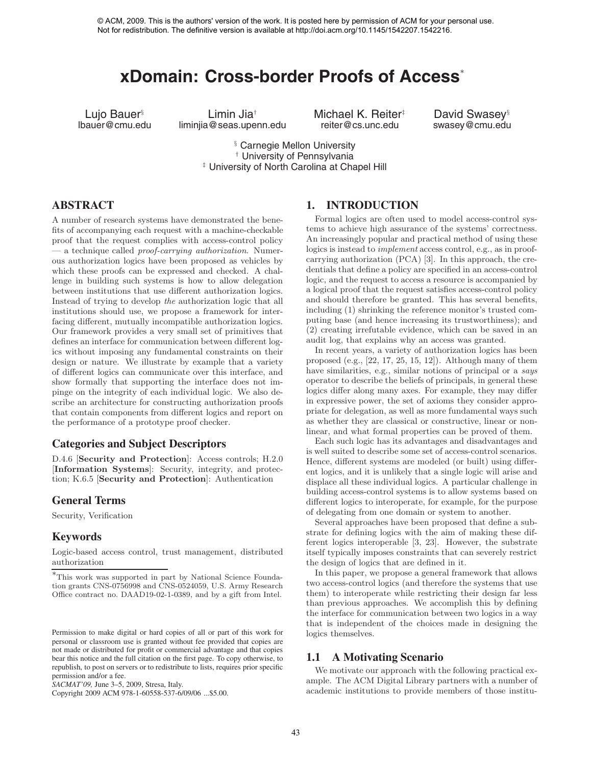# **xDomain: Cross-border Proofs of Access**<sup>∗</sup>

Lujo Bauer§ Limin Jia† Michael K. Reiter‡ David Swasey§ liminjia@seas.upenn.edu

§ Carnegie Mellon University † University of Pennsylvania ‡ University of North Carolina at Chapel Hill

# **ABSTRACT**

A number of research systems have demonstrated the benefits of accompanying each request with a machine-checkable proof that the request complies with access-control policy — a technique called *proof-carrying authorization*. Numerous authorization logics have been proposed as vehicles by which these proofs can be expressed and checked. A challenge in building such systems is how to allow delegation between institutions that use different authorization logics. Instead of trying to develop *the* authorization logic that all institutions should use, we propose a framework for interfacing different, mutually incompatible authorization logics. Our framework provides a very small set of primitives that defines an interface for communication between different logics without imposing any fundamental constraints on their design or nature. We illustrate by example that a variety of different logics can communicate over this interface, and show formally that supporting the interface does not impinge on the integrity of each individual logic. We also describe an architecture for constructing authorization proofs that contain components from different logics and report on the performance of a prototype proof checker. ACM, 2009. This interest is the authors' version of the work. It is the authors' version of the authors' version of the authors' version of the authors' version of the authors' version of the authors' version of the auth

## **Categories and Subject Descriptors**

D.4.6 [**Security and Protection**]: Access controls; H.2.0 [**Information Systems**]: Security, integrity, and protection; K.6.5 [**Security and Protection**]: Authentication

## **General Terms**

Security, Verification

#### **Keywords**

Logic-based access control, trust management, distributed authorization

Copyright 2009 ACM 978-1-60558-537-6/09/06 ...\$5.00.

### **1. INTRODUCTION**

Formal logics are often used to model access-control systems to achieve high assurance of the systems' correctness. An increasingly popular and practical method of using these logics is instead to *implement* access control, e.g., as in proofcarrying authorization (PCA) [3]. In this approach, the credentials that define a policy are specified in an access-control logic, and the request to access a resource is accompanied by a logical proof that the request satisfies access-control policy and should therefore be granted. This has several benefits, including (1) shrinking the reference monitor's trusted computing base (and hence increasing its trustworthiness); and (2) creating irrefutable evidence, which can be saved in an audit log, that explains why an access was granted.

In recent years, a variety of authorization logics has been proposed (e.g., [22, 17, 25, 15, 12]). Although many of them have similarities, e.g., similar notions of principal or a *says* operator to describe the beliefs of principals, in general these logics differ along many axes. For example, they may differ in expressive power, the set of axioms they consider appropriate for delegation, as well as more fundamental ways such as whether they are classical or constructive, linear or nonlinear, and what formal properties can be proved of them.

Each such logic has its advantages and disadvantages and is well suited to describe some set of access-control scenarios. Hence, different systems are modeled (or built) using different logics, and it is unlikely that a single logic will arise and displace all these individual logics. A particular challenge in building access-control systems is to allow systems based on different logics to interoperate, for example, for the purpose of delegating from one domain or system to another.

Several approaches have been proposed that define a substrate for defining logics with the aim of making these different logics interoperable [3, 23]. However, the substrate itself typically imposes constraints that can severely restrict the design of logics that are defined in it.

In this paper, we propose a general framework that allows two access-control logics (and therefore the systems that use them) to interoperate while restricting their design far less than previous approaches. We accomplish this by defining the interface for communication between two logics in a way that is independent of the choices made in designing the logics themselves.

# **1.1 A Motivating Scenario**

We motivate our approach with the following practical example. The ACM Digital Library partners with a number of academic institutions to provide members of those institu-

<sup>∗</sup>This work was supported in part by National Science Foundation grants CNS-0756998 and CNS-0524059, U.S. Army Research Office contract no. DAAD19-02-1-0389, and by a gift from Intel.

Permission to make digital or hard copies of all or part of this work for personal or classroom use is granted without fee provided that copies are not made or distributed for profit or commercial advantage and that copies bear this notice and the full citation on the first page. To copy otherwise, to republish, to post on servers or to redistribute to lists, requires prior specific permission and/or a fee.

*SACMAT'09,* June 3–5, 2009, Stresa, Italy.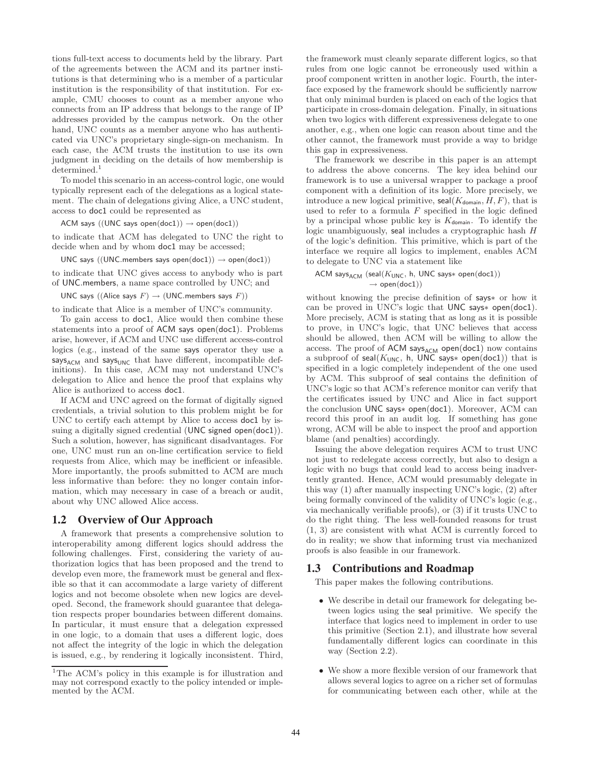tions full-text access to documents held by the library. Part of the agreements between the ACM and its partner institutions is that determining who is a member of a particular institution is the responsibility of that institution. For example, CMU chooses to count as a member anyone who connects from an IP address that belongs to the range of IP addresses provided by the campus network. On the other hand, UNC counts as a member anyone who has authenticated via UNC's proprietary single-sign-on mechanism. In each case, the ACM trusts the institution to use its own judgment in deciding on the details of how membership is determined.<sup>1</sup>

To model this scenario in an access-control logic, one would typically represent each of the delegations as a logical statement. The chain of delegations giving Alice, a UNC student, access to doc1 could be represented as

ACM says  $((UNC says open(doc1)) \rightarrow open(doc1))$ 

to indicate that ACM has delegated to UNC the right to decide when and by whom doc1 may be accessed;

UNC says  $((UNC.members \; says \; open(doc1)) \rightarrow open(doc1))$ 

to indicate that UNC gives access to anybody who is part of UNC.members, a name space controlled by UNC; and

UNC says  $(($ Alice says  $F) \rightarrow ($ UNC.members says  $F)$ )

to indicate that Alice is a member of UNC's community.

To gain access to doc1, Alice would then combine these statements into a proof of ACM says open(doc1). Problems arise, however, if ACM and UNC use different access-control logics (e.g., instead of the same says operator they use a  $\mathsf{says}_\mathsf{ACM}$  and  $\mathsf{says}_\mathsf{UNC}$  that have different, incompatible definitions). In this case, ACM may not understand UNC's delegation to Alice and hence the proof that explains why Alice is authorized to access doc1.

If ACM and UNC agreed on the format of digitally signed credentials, a trivial solution to this problem might be for UNC to certify each attempt by Alice to access doc1 by issuing a digitally signed credential (UNC signed open(doc1)). Such a solution, however, has significant disadvantages. For one, UNC must run an on-line certification service to field requests from Alice, which may be inefficient or infeasible. More importantly, the proofs submitted to ACM are much less informative than before: they no longer contain information, which may necessary in case of a breach or audit, about why UNC allowed Alice access.

#### **1.2 Overview of Our Approach**

A framework that presents a comprehensive solution to interoperability among different logics should address the following challenges. First, considering the variety of authorization logics that has been proposed and the trend to develop even more, the framework must be general and flexible so that it can accommodate a large variety of different logics and not become obsolete when new logics are developed. Second, the framework should guarantee that delegation respects proper boundaries between different domains. In particular, it must ensure that a delegation expressed in one logic, to a domain that uses a different logic, does not affect the integrity of the logic in which the delegation is issued, e.g., by rendering it logically inconsistent. Third,

the framework must cleanly separate different logics, so that rules from one logic cannot be erroneously used within a proof component written in another logic. Fourth, the interface exposed by the framework should be sufficiently narrow that only minimal burden is placed on each of the logics that participate in cross-domain delegation. Finally, in situations when two logics with different expressiveness delegate to one another, e.g., when one logic can reason about time and the other cannot, the framework must provide a way to bridge this gap in expressiveness.

The framework we describe in this paper is an attempt to address the above concerns. The key idea behind our framework is to use a universal wrapper to package a proof component with a definition of its logic. More precisely, we introduce a new logical primitive,  $\text{seal}(K_{\text{domain}},H,F)$ , that is used to refer to a formula *F* specified in the logic defined by a principal whose public key is  $K_{domain}$ . To identify the logic unambiguously, seal includes a cryptographic hash *H* of the logic's definition. This primitive, which is part of the interface we require all logics to implement, enables ACM to delegate to UNC via a statement like

#### ACM says<sub>ACM</sub> (seal( $K$ <sub>UNC</sub>, h, UNC says\* open(doc1))  $\rightarrow$  open(doc1))

without knowing the precise definition of says∗ or how it can be proved in UNC's logic that UNC says∗ open(doc1). More precisely, ACM is stating that as long as it is possible to prove, in UNC's logic, that UNC believes that access should be allowed, then ACM will be willing to allow the access. The proof of  $ACM$  says<sub>ACM</sub> open(doc1) now contains a subproof of seal( $K$ <sub>UNC</sub>, h, UNC says∗ open(doc1)) that is specified in a logic completely independent of the one used by ACM. This subproof of seal contains the definition of UNC's logic so that ACM's reference monitor can verify that the certificates issued by UNC and Alice in fact support the conclusion UNC says∗ open(doc1). Moreover, ACM can record this proof in an audit log. If something has gone wrong, ACM will be able to inspect the proof and apportion blame (and penalties) accordingly.

Issuing the above delegation requires ACM to trust UNC not just to redelegate access correctly, but also to design a logic with no bugs that could lead to access being inadvertently granted. Hence, ACM would presumably delegate in this way (1) after manually inspecting UNC's logic, (2) after being formally convinced of the validity of UNC's logic (e.g., via mechanically verifiable proofs), or (3) if it trusts UNC to do the right thing. The less well-founded reasons for trust (1, 3) are consistent with what ACM is currently forced to do in reality; we show that informing trust via mechanized proofs is also feasible in our framework.

### **1.3 Contributions and Roadmap**

This paper makes the following contributions.

- We describe in detail our framework for delegating between logics using the seal primitive. We specify the interface that logics need to implement in order to use this primitive (Section 2.1), and illustrate how several fundamentally different logics can coordinate in this way (Section 2.2).
- We show a more flexible version of our framework that allows several logics to agree on a richer set of formulas for communicating between each other, while at the

<sup>&</sup>lt;sup>1</sup>The ACM's policy in this example is for illustration and may not correspond exactly to the policy intended or implemented by the ACM.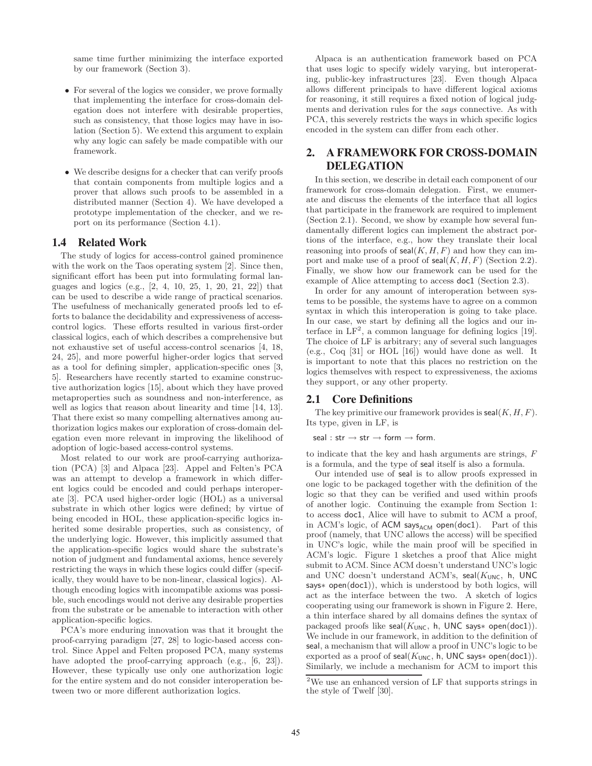same time further minimizing the interface exported by our framework (Section 3).

- For several of the logics we consider, we prove formally that implementing the interface for cross-domain delegation does not interfere with desirable properties, such as consistency, that those logics may have in isolation (Section 5). We extend this argument to explain why any logic can safely be made compatible with our framework.
- We describe designs for a checker that can verify proofs that contain components from multiple logics and a prover that allows such proofs to be assembled in a distributed manner (Section 4). We have developed a prototype implementation of the checker, and we report on its performance (Section 4.1).

#### **1.4 Related Work**

The study of logics for access-control gained prominence with the work on the Taos operating system [2]. Since then, significant effort has been put into formulating formal languages and logics (e.g., [2, 4, 10, 25, 1, 20, 21, 22]) that can be used to describe a wide range of practical scenarios. The usefulness of mechanically generated proofs led to efforts to balance the decidability and expressiveness of accesscontrol logics. These efforts resulted in various first-order classical logics, each of which describes a comprehensive but not exhaustive set of useful access-control scenarios [4, 18, 24, 25], and more powerful higher-order logics that served as a tool for defining simpler, application-specific ones [3, 5]. Researchers have recently started to examine constructive authorization logics [15], about which they have proved metaproperties such as soundness and non-interference, as well as logics that reason about linearity and time [14, 13]. That there exist so many compelling alternatives among authorization logics makes our exploration of cross-domain delegation even more relevant in improving the likelihood of adoption of logic-based access-control systems.

Most related to our work are proof-carrying authorization (PCA) [3] and Alpaca [23]. Appel and Felten's PCA was an attempt to develop a framework in which different logics could be encoded and could perhaps interoperate [3]. PCA used higher-order logic (HOL) as a universal substrate in which other logics were defined; by virtue of being encoded in HOL, these application-specific logics inherited some desirable properties, such as consistency, of the underlying logic. However, this implicitly assumed that the application-specific logics would share the substrate's notion of judgment and fundamental axioms, hence severely restricting the ways in which these logics could differ (specifically, they would have to be non-linear, classical logics). Although encoding logics with incompatible axioms was possible, such encodings would not derive any desirable properties from the substrate or be amenable to interaction with other application-specific logics.

PCA's more enduring innovation was that it brought the proof-carrying paradigm [27, 28] to logic-based access control. Since Appel and Felten proposed PCA, many systems have adopted the proof-carrying approach (e.g., [6, 23]). However, these typically use only one authorization logic for the entire system and do not consider interoperation between two or more different authorization logics.

Alpaca is an authentication framework based on PCA that uses logic to specify widely varying, but interoperating, public-key infrastructures [23]. Even though Alpaca allows different principals to have different logical axioms for reasoning, it still requires a fixed notion of logical judgments and derivation rules for the *says* connective. As with PCA, this severely restricts the ways in which specific logics encoded in the system can differ from each other.

## **2. A FRAMEWORK FOR CROSS-DOMAIN DELEGATION**

In this section, we describe in detail each component of our framework for cross-domain delegation. First, we enumerate and discuss the elements of the interface that all logics that participate in the framework are required to implement (Section 2.1). Second, we show by example how several fundamentally different logics can implement the abstract portions of the interface, e.g., how they translate their local reasoning into proofs of  $\text{seal}(K, H, F)$  and how they can import and make use of a proof of seal(*K, H, F*) (Section 2.2). Finally, we show how our framework can be used for the example of Alice attempting to access doc1 (Section 2.3).

In order for any amount of interoperation between systems to be possible, the systems have to agree on a common syntax in which this interoperation is going to take place. In our case, we start by defining all the logics and our interface in  $LF<sup>2</sup>$ , a common language for defining logics [19]. The choice of LF is arbitrary; any of several such languages (e.g., Coq [31] or HOL [16]) would have done as well. It is important to note that this places no restriction on the logics themselves with respect to expressiveness, the axioms they support, or any other property.

#### **2.1 Core Definitions**

The key primitive our framework provides is seal(*K, H, F*). Its type, given in LF, is

seal : str  $\rightarrow$  str  $\rightarrow$  form  $\rightarrow$  form.

to indicate that the key and hash arguments are strings, *F* is a formula, and the type of seal itself is also a formula.

Our intended use of seal is to allow proofs expressed in one logic to be packaged together with the definition of the logic so that they can be verified and used within proofs of another logic. Continuing the example from Section 1: to access doc1, Alice will have to submit to ACM a proof, in ACM's logic, of ACM  $says_{ACM}$  open(doc1). Part of this proof (namely, that UNC allows the access) will be specified in UNC's logic, while the main proof will be specified in ACM's logic. Figure 1 sketches a proof that Alice might submit to ACM. Since ACM doesn't understand UNC's logic and UNC doesn't understand ACM's, seal( $K<sub>UNC</sub>$ , h, UNC says∗ open(doc1)), which is understood by both logics, will act as the interface between the two. A sketch of logics cooperating using our framework is shown in Figure 2. Here, a thin interface shared by all domains defines the syntax of packaged proofs like seal( $K_{\text{UNC}}$ , h, UNC says\* open(doc1)). We include in our framework, in addition to the definition of seal, a mechanism that will allow a proof in UNC's logic to be exported as a proof of seal( $K_{\text{UNC}}$ , h, UNC says $*$  open(doc1)). Similarly, we include a mechanism for ACM to import this

 $^2\rm{We}$  use an enhanced version of LF that supports strings in the style of Twelf [30].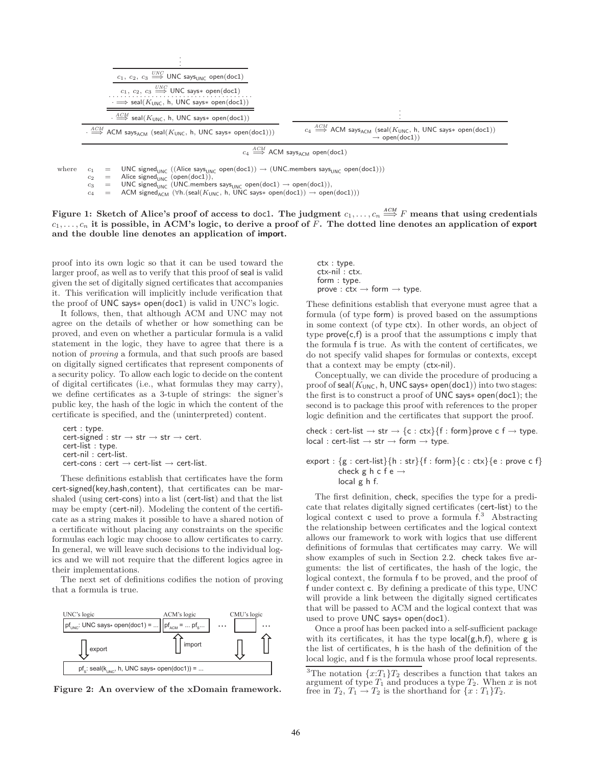

 $c_4 \stackrel{ACM}{\Longrightarrow}$  ACM says<sub>ACM</sub> open(doc1)

where  $c_1$  = UNC signed<sub>UNC</sub> ((Alice says<sub>UNC</sub> open(doc1))  $\rightarrow$  (UNC.members says<sub>UNC</sub> open(doc1)))<br> $c_2$  = Alice signed<sub>UNC</sub> (open(doc1)),

 $c_2$  = Alice signed<sub>UNC</sub> (open(doc1)),<br>  $c_3$  = UNC signed<sub>UNC</sub> (UNC.member  $c_3$  = UNC signed<sub>UNC</sub> (UNC.members says<sub>UNC</sub> open(doc1) → open(doc1)),<br> $c_4$  = ACM signed at ( $\forall$ h (seal(Kunc, h UNC says\* open(doc1)) → open

 $c_4$  = ACM signed<sub>ACM</sub> (∀h.(seal( $K_{\text{UNC}}$ , h, UNC says $*$  open(doc1)) → open(doc1)))

Figure 1: Sketch of Alice's proof of access to doc1. The judgment  $c_1,\ldots,c_n\stackrel{ACM}{\Longrightarrow}F$  means that using credentials  $c_1, \ldots, c_n$  it is possible, in ACM's logic, to derive a proof of  $\overline{F}$ . The dotted line denotes an application of export **and the double line denotes an application of import.**

proof into its own logic so that it can be used toward the larger proof, as well as to verify that this proof of seal is valid given the set of digitally signed certificates that accompanies it. This verification will implicitly include verification that the proof of UNC says∗ open(doc1) is valid in UNC's logic.

It follows, then, that although ACM and UNC may not agree on the details of whether or how something can be proved, and even on whether a particular formula is a valid statement in the logic, they have to agree that there is a notion of *proving* a formula, and that such proofs are based on digitally signed certificates that represent components of a security policy. To allow each logic to decide on the content of digital certificates (i.e., what formulas they may carry), we define certificates as a 3-tuple of strings: the signer's public key, the hash of the logic in which the content of the certificate is specified, and the (uninterpreted) content.

```
cert : type.
cert\text{-}signed: str \rightarrow str \rightarrow str \rightarrow cert.cert-list : type.
cert-nil : cert-list.
cert\text{-const}: cert \to cert\text{-list} \to cert\text{-list}.
```
These definitions establish that certificates have the form cert-signed(key,hash,content), that certificates can be marshaled (using cert-cons) into a list (cert-list) and that the list may be empty (cert-nil). Modeling the content of the certificate as a string makes it possible to have a shared notion of a certificate without placing any constraints on the specific formulas each logic may choose to allow certificates to carry. In general, we will leave such decisions to the individual logics and we will not require that the different logics agree in their implementations.

The next set of definitions codifies the notion of proving that a formula is true.



**Figure 2: An overview of the xDomain framework.**

ctx : type. ctx-nil : ctx. form : type.  $prove:$  ctx  $\rightarrow$  form  $\rightarrow$  type.

These definitions establish that everyone must agree that a formula (of type form) is proved based on the assumptions in some context (of type ctx). In other words, an object of type  $\mathsf{prove}(\mathsf{c},\mathsf{f})$  is a proof that the assumptions  $\mathsf{c}$  imply that the formula f is true. As with the content of certificates, we do not specify valid shapes for formulas or contexts, except that a context may be empty (ctx-nil).

Conceptually, we can divide the procedure of producing a proof of seal(*K*<sub>UNC</sub>, h, UNC says∗ open(doc1)) into two stages: the first is to construct a proof of UNC says∗ open(doc1); the second is to package this proof with references to the proper logic definition and the certificates that support the proof.

check : cert-list  $\rightarrow$  str  $\rightarrow$  {c : ctx}{f : form}prove c f  $\rightarrow$  type.  $local : cert-list \rightarrow str \rightarrow form \rightarrow type.$ 

export :  ${g : cert-list}$ {h : str}{f : form}{c : ctx}{e : prove c f} check g h c f e  $\rightarrow$ local g h f.

The first definition, check, specifies the type for a predicate that relates digitally signed certificates (cert-list) to the logical context c used to prove a formula  $f^{3}$ . Abstracting the relationship between certificates and the logical context allows our framework to work with logics that use different definitions of formulas that certificates may carry. We will show examples of such in Section 2.2. check takes five arguments: the list of certificates, the hash of the logic, the logical context, the formula f to be proved, and the proof of f under context c. By defining a predicate of this type, UNC will provide a link between the digitally signed certificates that will be passed to ACM and the logical context that was used to prove UNC says∗ open(doc1).

Once a proof has been packed into a self-sufficient package with its certificates, it has the type  $local(g,h,f)$ , where g is the list of certificates, h is the hash of the definition of the local logic, and f is the formula whose proof local represents.

<sup>&</sup>lt;sup>3</sup>The notation  $\{x:T_1\}T_2$  describes a function that takes an argument of type  $T_1$  and produces a type  $T_2$ . When  $x$  is not free in  $T_2, T_1 \rightarrow T_2$  is the shorthand for  $\{x: T_1\}T_2$ .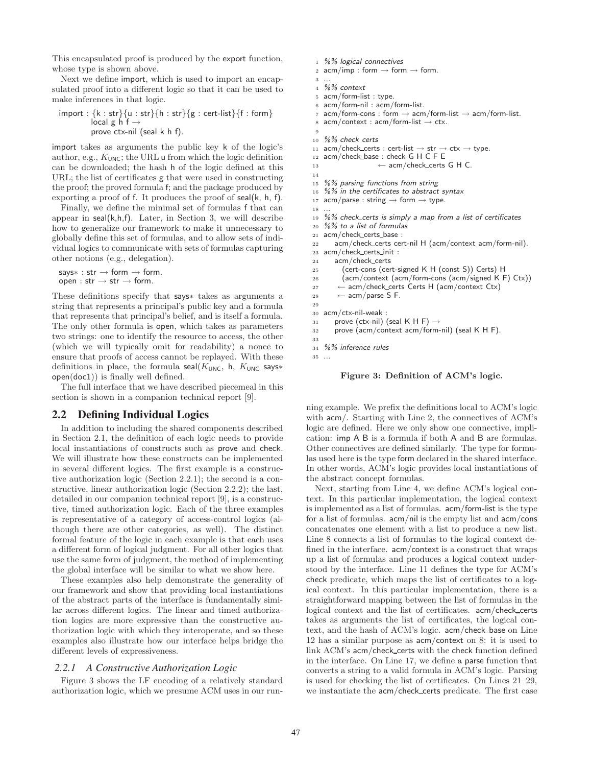This encapsulated proof is produced by the export function, whose type is shown above.

Next we define import, which is used to import an encapsulated proof into a different logic so that it can be used to make inferences in that logic.

```
import : \{k : str\}{u : str}{h : str}{g : cert-list}{f : form}
          local g h f \rightarrowprove ctx-nil (seal k h f).
```
import takes as arguments the public key k of the logic's author, e.g.,  $K_{\text{UNC}}$ ; the URL u from which the logic definition can be downloaded; the hash h of the logic defined at this URL; the list of certificates g that were used in constructing the proof; the proved formula f; and the package produced by exporting a proof of f. It produces the proof of seal(k, h, f).

Finally, we define the minimal set of formulas f that can appear in  $seal(k,h,f)$ . Later, in Section 3, we will describe how to generalize our framework to make it unnecessary to globally define this set of formulas, and to allow sets of individual logics to communicate with sets of formulas capturing other notions (e.g., delegation).

```
says∗ : str \rightarrow form \rightarrow form.
open : str \rightarrow str \rightarrow form.
```
These definitions specify that says∗ takes as arguments a string that represents a principal's public key and a formula that represents that principal's belief, and is itself a formula. The only other formula is open, which takes as parameters two strings: one to identify the resource to access, the other (which we will typically omit for readability) a nonce to ensure that proofs of access cannot be replayed. With these definitions in place, the formula seal( $K_{\text{UNC}}$ , h,  $K_{\text{UNC}}$  says\* open(doc1)) is finally well defined.

The full interface that we have described piecemeal in this section is shown in a companion technical report [9].

### **2.2 Defining Individual Logics**

In addition to including the shared components described in Section 2.1, the definition of each logic needs to provide local instantiations of constructs such as prove and check. We will illustrate how these constructs can be implemented in several different logics. The first example is a constructive authorization logic (Section 2.2.1); the second is a constructive, linear authorization logic (Section 2.2.2); the last, detailed in our companion technical report [9], is a constructive, timed authorization logic. Each of the three examples is representative of a category of access-control logics (although there are other categories, as well). The distinct formal feature of the logic in each example is that each uses a different form of logical judgment. For all other logics that use the same form of judgment, the method of implementing the global interface will be similar to what we show here.

These examples also help demonstrate the generality of our framework and show that providing local instantiations of the abstract parts of the interface is fundamentally similar across different logics. The linear and timed authorization logics are more expressive than the constructive authorization logic with which they interoperate, and so these examples also illustrate how our interface helps bridge the different levels of expressiveness.

#### *2.2.1 A Constructive Authorization Logic*

Figure 3 shows the LF encoding of a relatively standard authorization logic, which we presume ACM uses in our run-

```
2 acm/imp : form \rightarrow form \rightarrow form.
3 ...
4 %% context
 5 acm/form-list : type.
6 acm/form-nil : acm/form-list.
 \tau acm/form-cons : form \rightarrow acm/form-list \rightarrow acm/form-list.<br>s acm/context : acm/form-list \rightarrow ctx.
   acm/context : acm/form-list \rightarrow ctx.9
10 %% check certs
11 acm/check_certs : cert-list \rightarrow str \rightarrow ctx \rightarrow type.
12 acm/check_base : check G H C F E
13 \leftarrow acm/check_certs G H C.
14
15 %% parsing functions from string
16 %% in the certificates to abstract syntax
17 acm/parse : string \rightarrow form \rightarrow type.
18
19 %% check certs is simply a map from a list of certificates
20 %% to a list of formulas
21 acm/check_certs_base:
22 acm/check certs cert-nil H (acm/context acm/form-nil).
23 acm/check certs init :
24 acm/check certs
25 (cert-cons (cert-signed K H (const S)) Certs) H
26 (acm/context (acm/form-cons (acm/signed K F) Ctx))
27 ← acm/check_certs Certs H (acm/context Ctx)<br>28 ← acm/parse S F.
        \leftarrow acm/parse S F.
29
30 acm/ctx-nil-weak :
31 prove (ctx-nil) (seal K H F) \rightarrow<br>32 prove (acm/context acm/form-
       prove (acm/context acm/form-nil) (seal K H F).
33
34 %% inference rules
35\,
```
<sup>1</sup> *%% logical connectives*

**Figure 3: Definition of ACM's logic.**

ning example. We prefix the definitions local to ACM's logic with acm/. Starting with Line 2, the connectives of ACM's logic are defined. Here we only show one connective, implication: imp A B is a formula if both A and B are formulas. Other connectives are defined similarly. The type for formulas used here is the type form declared in the shared interface. In other words, ACM's logic provides local instantiations of the abstract concept formulas.

Next, starting from Line 4, we define ACM's logical context. In this particular implementation, the logical context is implemented as a list of formulas. acm/form-list is the type for a list of formulas. acm/nil is the empty list and acm/cons concatenates one element with a list to produce a new list. Line 8 connects a list of formulas to the logical context defined in the interface. acm/context is a construct that wraps up a list of formulas and produces a logical context understood by the interface. Line 11 defines the type for ACM's check predicate, which maps the list of certificates to a logical context. In this particular implementation, there is a straightforward mapping between the list of formulas in the logical context and the list of certificates. acm/check\_certs takes as arguments the list of certificates, the logical context, and the hash of ACM's logic. acm/check base on Line 12 has a similar purpose as acm/context on 8: it is used to link ACM's acm/check certs with the check function defined in the interface. On Line 17, we define a parse function that converts a string to a valid formula in ACM's logic. Parsing is used for checking the list of certificates. On Lines 21–29, we instantiate the acm/check certs predicate. The first case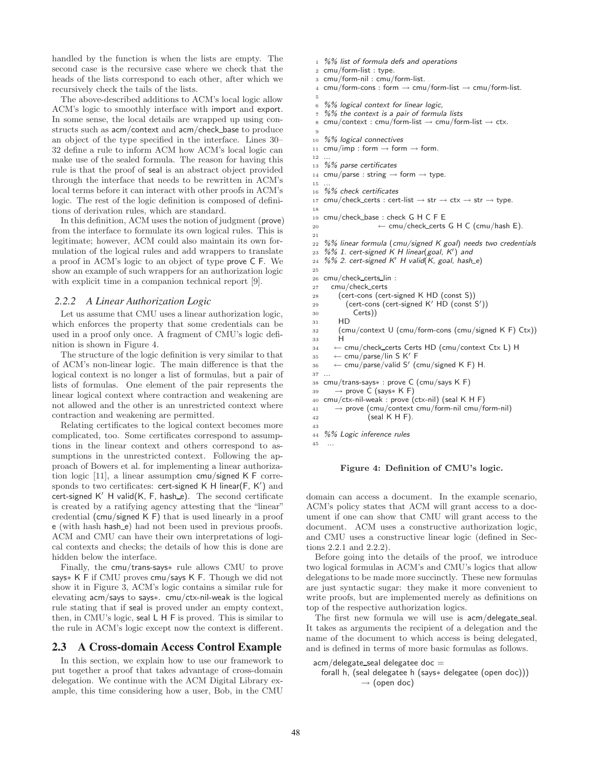handled by the function is when the lists are empty. The second case is the recursive case where we check that the heads of the lists correspond to each other, after which we recursively check the tails of the lists.

The above-described additions to ACM's local logic allow ACM's logic to smoothly interface with import and export. In some sense, the local details are wrapped up using constructs such as acm/context and acm/check base to produce an object of the type specified in the interface. Lines 30– 32 define a rule to inform ACM how ACM's local logic can make use of the sealed formula. The reason for having this rule is that the proof of seal is an abstract object provided through the interface that needs to be rewritten in ACM's local terms before it can interact with other proofs in ACM's logic. The rest of the logic definition is composed of definitions of derivation rules, which are standard.

In this definition, ACM uses the notion of judgment (prove) from the interface to formulate its own logical rules. This is legitimate; however, ACM could also maintain its own formulation of the logical rules and add wrappers to translate a proof in ACM's logic to an object of type prove C F. We show an example of such wrappers for an authorization logic with explicit time in a companion technical report [9].

#### *2.2.2 A Linear Authorization Logic*

Let us assume that CMU uses a linear authorization logic, which enforces the property that some credentials can be used in a proof only once. A fragment of CMU's logic definition is shown in Figure 4.

The structure of the logic definition is very similar to that of ACM's non-linear logic. The main difference is that the logical context is no longer a list of formulas, but a pair of lists of formulas. One element of the pair represents the linear logical context where contraction and weakening are not allowed and the other is an unrestricted context where contraction and weakening are permitted.

Relating certificates to the logical context becomes more complicated, too. Some certificates correspond to assumptions in the linear context and others correspond to assumptions in the unrestricted context. Following the approach of Bowers et al. for implementing a linear authorization logic [11], a linear assumption cmu/signed K F corresponds to two certificates:  $\mathsf{cert\text{-}signed} \mathsf{K} \mathsf{H}$  linear(F,  $\mathsf{K}'$ ) and cert-signed K′ H valid(K, F, hash\_e). The second certificate is created by a ratifying agency attesting that the "linear" credential (cmu/signed K F) that is used linearly in a proof e (with hash hash e) had not been used in previous proofs. ACM and CMU can have their own interpretations of logical contexts and checks; the details of how this is done are hidden below the interface.

Finally, the cmu/trans-says∗ rule allows CMU to prove says∗ K F if CMU proves cmu/says K F. Though we did not show it in Figure 3, ACM's logic contains a similar rule for elevating acm/says to says∗. cmu/ctx-nil-weak is the logical rule stating that if seal is proved under an empty context, then, in CMU's logic, seal L H F is proved. This is similar to the rule in ACM's logic except now the context is different.

#### **2.3 A Cross-domain Access Control Example**

In this section, we explain how to use our framework to put together a proof that takes advantage of cross-domain delegation. We continue with the ACM Digital Library example, this time considering how a user, Bob, in the CMU

```
1 %% list of formula defs and operations
2 cmu/form-list : type.
3 cmu/form-nil : cmu/form-list.
4 cmu/form-cons : form \rightarrow cmu/form-list \rightarrow cmu/form-list.
 5
6 %% logical context for linear logic,
 7 %% the context is a pair of formula lists
 8 cmu/context : cmu/form-list \rightarrow cmu/form-list \rightarrow ctx.
9
10 %% logical connectives
11 cmu/imp : form \rightarrow form \rightarrow form.
12 ...
13 %% parse certificates
14 cmu/parse : string \rightarrow form \rightarrow type.
15
16 %% check certificates
17 cmu/check_certs : cert-list \rightarrow str \rightarrow ctx \rightarrow str \rightarrow type.
18
19 cmu/check base : check G H C F E
20 \leftarrow cmu/check_certs G H C (cmu/hash E).
21
22 %% linear formula (cmu/signed K goal) needs two credentials
23 %% 1. cert-signed K H linear(goal, K-

) and
24 %% 2. cert-signed K-
 H valid(K, goal, hash e)
25
26 cmu/check_certs_lin :
27 cmu/check certs
28 (cert-cons (cert-signed K HD (const S))
_{29} (cert-cons (cert-signed K' HD (const S'))
30 Certs))
31 HD
32 (cmu/context U (cmu/form-cons (cmu/signed K F) Ctx))
33 H
34 \leftarrow \text{cmu/check\_certs Certs HD (cmu/context Ctx L) H}<br>35 \leftarrow \text{cmu/parse/lin S K' F}35 \leftarrow \text{cmu/parse/lin S K' F}36 \leftarrow cmu/parse/valid S' (cmu/signed K F) H.
37 ...
38 cmu/trans-says∗ : prove C (cmu/says K F)<br>39 → prove C (says∗ K F)
        39 → prove C (says∗ K F)
40 cmu/ctx-nil-weak : prove (ctx-nil) (seal K H F)
41 → prove (cmu/context cmu/form-nil cmu/form-nil)<br>
\frac{42}{42} (seal K H F).
                  (seal K H F).
43
44 %% Logic inference rules
45 ...
```
#### **Figure 4: Definition of CMU's logic.**

domain can access a document. In the example scenario, ACM's policy states that ACM will grant access to a document if one can show that CMU will grant access to the document. ACM uses a constructive authorization logic, and CMU uses a constructive linear logic (defined in Sections 2.2.1 and 2.2.2).

Before going into the details of the proof, we introduce two logical formulas in ACM's and CMU's logics that allow delegations to be made more succinctly. These new formulas are just syntactic sugar: they make it more convenient to write proofs, but are implemented merely as definitions on top of the respective authorization logics.

The first new formula we will use is  $a$ cm/delegate\_seal. It takes as arguments the recipient of a delegation and the name of the document to which access is being delegated, and is defined in terms of more basic formulas as follows.

```
acm/delegate_seal delegatee doc =
```

```
forall h, (seal delegatee h (says∗ delegatee (open doc)))
            \rightarrow (open doc)
```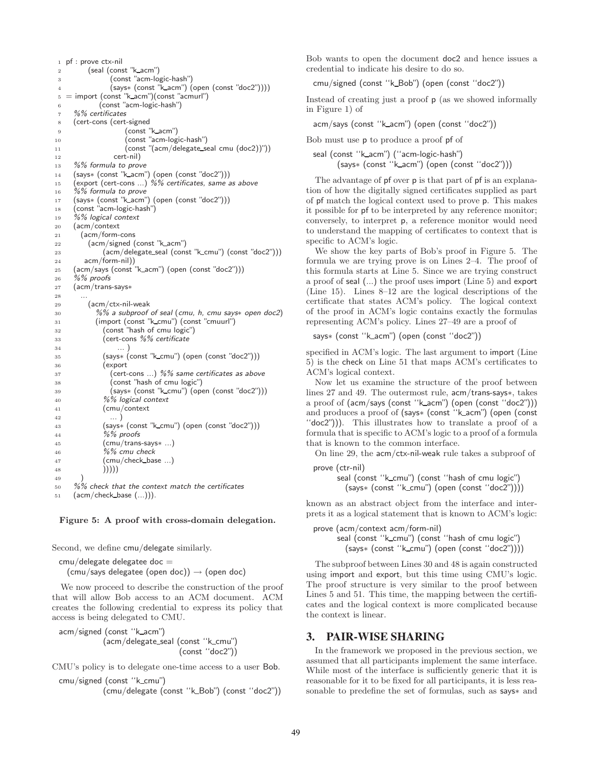| 1              | pt: prove ctx-nil                                         |
|----------------|-----------------------------------------------------------|
| $\overline{2}$ | (seal (const "k_acm")                                     |
| 3              | (const "acm-logic-hash")                                  |
| $\overline{4}$ | $(says* (const "k_acm") (open (const "doc2"))))$          |
| 5              | = import (const "k_acm")(const "acmurl")                  |
| 6              | (const "acm-logic-hash")                                  |
| $\overline{7}$ | %% certificates                                           |
| 8              | (cert-cons (cert-signed                                   |
| 9              | (const "k_acm")                                           |
| 10             | (const "acm-logic-hash")                                  |
| 11             | (const "(acm/delegate_seal cmu (doc2))"))                 |
| 12             | cert-nil)                                                 |
| 13             | %% formula to prove                                       |
| 14             | (says* (const "k_acm") (open (const "doc2")))             |
| 15             | (export (cert-cons ) %% certificates, same as above       |
| 16             | %% formula to prove                                       |
| 17             | (says* (const "k_acm") (open (const "doc2")))             |
| 18             | (const "acm-logic-hash")                                  |
| 19             | %% logical context                                        |
| 20             | (acm/context                                              |
| 21             | (acm/form-cons                                            |
| 22             | (acm/signed (const "k_acm")                               |
| 23             | (acm/delegate_seal (const "k_cmu") (const "doc2")))       |
| 24             | acm/form-nil))                                            |
| 25             | (acm/says (const "k_acm") (open (const "doc2")))          |
| 26             | %% proofs                                                 |
| 27             | (acm/trans-says*                                          |
| 28             |                                                           |
| 29             | (acm/ctx-nil-weak                                         |
| 30             | $%$ % a subproof of seal (cmu, h, cmu says $*$ open doc2) |
| 31             | (import (const "k_cmu") (const "cmuurl")                  |
| 32             | (const "hash of cmu logic")                               |
| 33             | (cert-cons %% <i>certificate</i>                          |
| 34             |                                                           |
| 35             | (says* (const "k_cmu") (open (const "doc2")))             |
| 36             | (export                                                   |
| 37             | (cert-cons ) %% same certificates as above                |
| 38             | (const "hash of cmu logic")                               |
| 39             | (says* (const "k_cmu") (open (const "doc2")))             |
| 40             | %% logical context                                        |
| 41             | (cmu/context                                              |
| 42             | )                                                         |
| 43             | (says* (const "k_cmu") (open (const "doc2")))             |
| 44             | %% proofs                                                 |
| 45             | (cmu/trans-says* )                                        |
| 46             | %% cmu check                                              |
| 47             | (cmu/check_base )                                         |
| 48             | )))))                                                     |
| 49             |                                                           |
| 50             | $\%$ % check that the context match the certificates      |
| 51             | $(acm/check_base ())$ .                                   |

**Figure 5: A proof with cross-domain delegation.**

Second, we define cmu/delegate similarly.

 $cmu$ /delegate delegatee doc  $=$  $(\text{cmu/says}$  delegatee (open doc))  $\rightarrow$  (open doc)

We now proceed to describe the construction of the proof that will allow Bob access to an ACM document. ACM creates the following credential to express its policy that access is being delegated to CMU.

```
acm/signed (const ''k acm")
           (acm/delegate_seal (const "k_cmu")
                               (const ''doc2"))
```
CMU's policy is to delegate one-time access to a user Bob.

cmu/signed (const ''k cmu") (cmu/delegate (const ''k Bob") (const ''doc2"))

Bob wants to open the document doc2 and hence issues a credential to indicate his desire to do so.

cmu/signed (const ''k Bob") (open (const ''doc2"))

Instead of creating just a proof p (as we showed informally in Figure 1) of

acm/says (const ''k acm") (open (const ''doc2"))

Bob must use p to produce a proof pf of

seal (const "k\_acm") ("acm-logic-hash") (says∗ (const ''k acm") (open (const ''doc2")))

The advantage of pf over p is that part of pf is an explanation of how the digitally signed certificates supplied as part of pf match the logical context used to prove p. This makes it possible for pf to be interpreted by any reference monitor; conversely, to interpret p, a reference monitor would need to understand the mapping of certificates to context that is specific to ACM's logic.

We show the key parts of Bob's proof in Figure 5. The formula we are trying prove is on Lines 2–4. The proof of this formula starts at Line 5. Since we are trying construct a proof of seal (...) the proof uses import (Line 5) and export (Line 15). Lines 8–12 are the logical descriptions of the certificate that states ACM's policy. The logical context of the proof in ACM's logic contains exactly the formulas representing ACM's policy. Lines 27–49 are a proof of

says∗ (const ''k acm") (open (const ''doc2"))

specified in ACM's logic. The last argument to import (Line 5) is the check on Line 51 that maps ACM's certificates to ACM's logical context.

Now let us examine the structure of the proof between lines 27 and 49. The outermost rule, acm/trans-says∗, takes a proof of (acm/says (const ''k acm") (open (const ''doc2"))) and produces a proof of (says∗ (const ''k acm") (open (const ''doc2"))). This illustrates how to translate a proof of a formula that is specific to ACM's logic to a proof of a formula that is known to the common interface.

On line 29, the acm/ctx-nil-weak rule takes a subproof of

```
prove (ctr-nil)
```
seal (const "k\_cmu") (const "hash of cmu logic") (says∗ (const ''k cmu") (open (const ''doc2"))))

known as an abstract object from the interface and interprets it as a logical statement that is known to ACM's logic:

```
prove (acm/context acm/form-nil)
      seal (const "k_cmu") (const "hash of cmu logic")
        (says∗ (const ''k cmu") (open (const ''doc2"))))
```
The subproof between Lines 30 and 48 is again constructed using import and export, but this time using CMU's logic. The proof structure is very similar to the proof between Lines 5 and 51. This time, the mapping between the certificates and the logical context is more complicated because the context is linear.

#### **3. PAIR-WISE SHARING**

In the framework we proposed in the previous section, we assumed that all participants implement the same interface. While most of the interface is sufficiently generic that it is reasonable for it to be fixed for all participants, it is less reasonable to predefine the set of formulas, such as says∗ and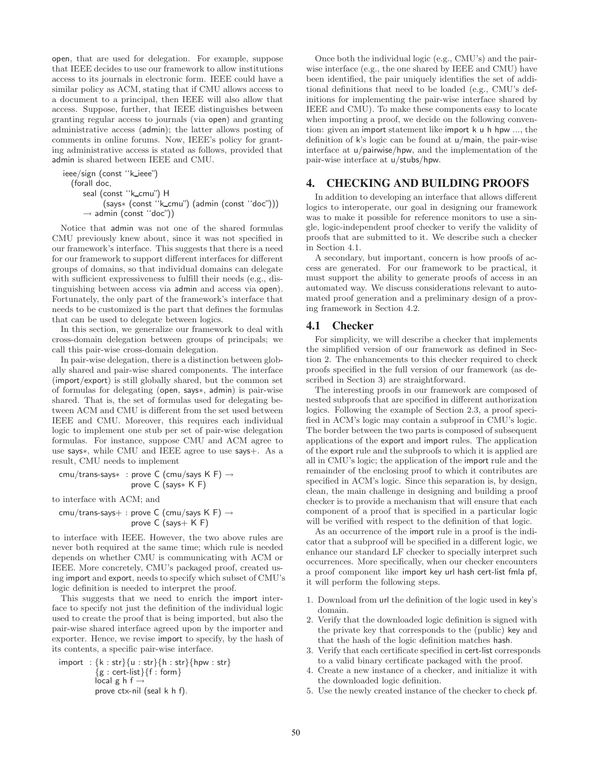open, that are used for delegation. For example, suppose that IEEE decides to use our framework to allow institutions access to its journals in electronic form. IEEE could have a similar policy as ACM, stating that if CMU allows access to a document to a principal, then IEEE will also allow that access. Suppose, further, that IEEE distinguishes between granting regular access to journals (via open) and granting administrative access (admin); the latter allows posting of comments in online forums. Now, IEEE's policy for granting administrative access is stated as follows, provided that admin is shared between IEEE and CMU.

ieee/sign (const "k\_ieee") (forall doc, seal (const "k\_cmu") H (says∗ (const ''k cmu") (admin (const ''doc"))) → admin (const ''doc"))

Notice that admin was not one of the shared formulas CMU previously knew about, since it was not specified in our framework's interface. This suggests that there is a need for our framework to support different interfaces for different groups of domains, so that individual domains can delegate with sufficient expressiveness to fulfill their needs (e.g., distinguishing between access via admin and access via open). Fortunately, the only part of the framework's interface that needs to be customized is the part that defines the formulas that can be used to delegate between logics.

In this section, we generalize our framework to deal with cross-domain delegation between groups of principals; we call this pair-wise cross-domain delegation.

In pair-wise delegation, there is a distinction between globally shared and pair-wise shared components. The interface (import/export) is still globally shared, but the common set of formulas for delegating (open, says∗, admin) is pair-wise shared. That is, the set of formulas used for delegating between ACM and CMU is different from the set used between IEEE and CMU. Moreover, this requires each individual logic to implement one stub per set of pair-wise delegation formulas. For instance, suppose CMU and ACM agree to use says∗, while CMU and IEEE agree to use says+. As a result, CMU needs to implement

$$
\text{cmu}/\text{trans-says*} \; : \; \text{prove C (cmu/says K F)} \rightarrow \text{prove C (says* K F)}
$$

to interface with ACM; and

$$
\begin{array}{l} \textsf{cmu}/\textsf{trans-says} + : \textsf{prove C} \text{ (cmu/says K F)} \rightarrow \\ \textsf{prove C} \text{ (says+ K F)} \end{array}
$$

to interface with IEEE. However, the two above rules are never both required at the same time; which rule is needed depends on whether CMU is communicating with ACM or IEEE. More concretely, CMU's packaged proof, created using import and export, needs to specify which subset of CMU's logic definition is needed to interpret the proof.

This suggests that we need to enrich the import interface to specify not just the definition of the individual logic used to create the proof that is being imported, but also the pair-wise shared interface agreed upon by the importer and exporter. Hence, we revise import to specify, by the hash of its contents, a specific pair-wise interface.

$$
import : \{k : str\} \{u : str\} \{h : str\} \{hpw : str\}
$$
\n
$$
\{g : cert-list\} \{f : form\}
$$
\n
$$
local g h f \rightarrow
$$
\n
$$
prove ctx-nil (seal k h f).
$$

Once both the individual logic (e.g., CMU's) and the pairwise interface (e.g., the one shared by IEEE and CMU) have been identified, the pair uniquely identifies the set of additional definitions that need to be loaded (e.g., CMU's definitions for implementing the pair-wise interface shared by IEEE and CMU). To make these components easy to locate when importing a proof, we decide on the following convention: given an import statement like import k u h hpw ..., the definition of k's logic can be found at u/main, the pair-wise interface at u/pairwise/hpw, and the implementation of the pair-wise interface at u/stubs/hpw.

#### **4. CHECKING AND BUILDING PROOFS**

In addition to developing an interface that allows different logics to interoperate, our goal in designing our framework was to make it possible for reference monitors to use a single, logic-independent proof checker to verify the validity of proofs that are submitted to it. We describe such a checker in Section 4.1.

A secondary, but important, concern is how proofs of access are generated. For our framework to be practical, it must support the ability to generate proofs of access in an automated way. We discuss considerations relevant to automated proof generation and a preliminary design of a proving framework in Section 4.2.

#### **4.1 Checker**

For simplicity, we will describe a checker that implements the simplified version of our framework as defined in Section 2. The enhancements to this checker required to check proofs specified in the full version of our framework (as described in Section 3) are straightforward.

The interesting proofs in our framework are composed of nested subproofs that are specified in different authorization logics. Following the example of Section 2.3, a proof specified in ACM's logic may contain a subproof in CMU's logic. The border between the two parts is composed of subsequent applications of the export and import rules. The application of the export rule and the subproofs to which it is applied are all in CMU's logic; the application of the import rule and the remainder of the enclosing proof to which it contributes are specified in ACM's logic. Since this separation is, by design, clean, the main challenge in designing and building a proof checker is to provide a mechanism that will ensure that each component of a proof that is specified in a particular logic will be verified with respect to the definition of that logic.

As an occurrence of the import rule in a proof is the indicator that a subproof will be specified in a different logic, we enhance our standard LF checker to specially interpret such occurrences. More specifically, when our checker encounters a proof component like import key url hash cert-list fmla pf, it will perform the following steps.

- 1. Download from url the definition of the logic used in key's domain.
- 2. Verify that the downloaded logic definition is signed with the private key that corresponds to the (public) key and that the hash of the logic definition matches hash.
- 3. Verify that each certificate specified in cert-list corresponds to a valid binary certificate packaged with the proof.
- 4. Create a new instance of a checker, and initialize it with the downloaded logic definition.
- 5. Use the newly created instance of the checker to check pf.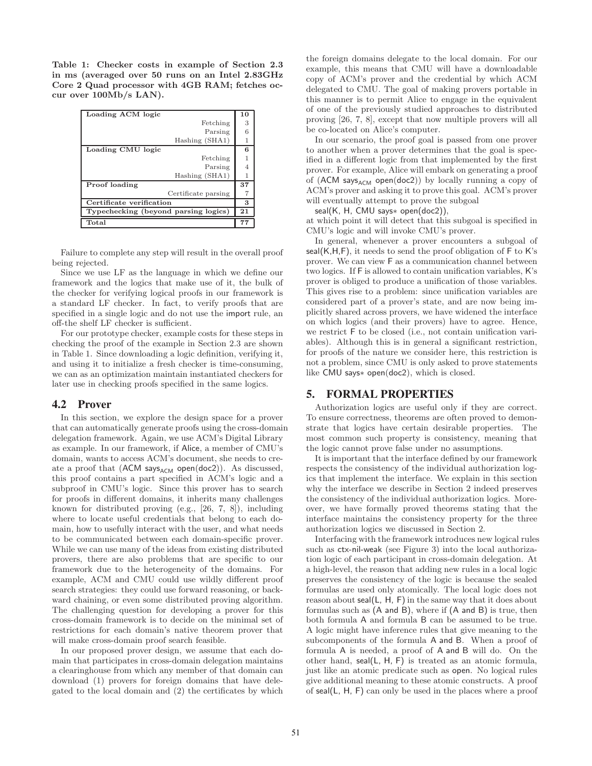**Table 1: Checker costs in example of Section 2.3 in ms (averaged over 50 runs on an Intel 2.83GHz Core 2 Quad processor with 4GB RAM; fetches occur over 100Mb/s LAN).**

| Loading ACM logic                    | 10 |
|--------------------------------------|----|
| Fetching                             | 3  |
| Parsing                              | 6  |
| Hashing (SHA1)                       |    |
| Loading CMU logic                    | 6  |
| Fetching                             |    |
| Parsing                              | 4  |
| Hashing (SHA1)                       | 1  |
| Proof loading                        | 37 |
| Certificate parsing                  |    |
| Certificate verification             | 3  |
| Typechecking (beyond parsing logics) | 21 |
| Total                                | 77 |

Failure to complete any step will result in the overall proof being rejected.

Since we use LF as the language in which we define our framework and the logics that make use of it, the bulk of the checker for verifying logical proofs in our framework is a standard LF checker. In fact, to verify proofs that are specified in a single logic and do not use the import rule, an off-the shelf LF checker is sufficient.

For our prototype checker, example costs for these steps in checking the proof of the example in Section 2.3 are shown in Table 1. Since downloading a logic definition, verifying it, and using it to initialize a fresh checker is time-consuming, we can as an optimization maintain instantiated checkers for later use in checking proofs specified in the same logics.

## **4.2 Prover**

In this section, we explore the design space for a prover that can automatically generate proofs using the cross-domain delegation framework. Again, we use ACM's Digital Library as example. In our framework, if Alice, a member of CMU's domain, wants to access ACM's document, she needs to create a proof that  $(ACM$  says<sub>ACM</sub> open(doc2)). As discussed, this proof contains a part specified in ACM's logic and a subproof in CMU's logic. Since this prover has to search for proofs in different domains, it inherits many challenges known for distributed proving (e.g., [26, 7, 8]), including where to locate useful credentials that belong to each domain, how to usefully interact with the user, and what needs to be communicated between each domain-specific prover. While we can use many of the ideas from existing distributed provers, there are also problems that are specific to our framework due to the heterogeneity of the domains. For example, ACM and CMU could use wildly different proof search strategies: they could use forward reasoning, or backward chaining, or even some distributed proving algorithm. The challenging question for developing a prover for this cross-domain framework is to decide on the minimal set of restrictions for each domain's native theorem prover that will make cross-domain proof search feasible.

In our proposed prover design, we assume that each domain that participates in cross-domain delegation maintains a clearinghouse from which any member of that domain can download (1) provers for foreign domains that have delegated to the local domain and (2) the certificates by which the foreign domains delegate to the local domain. For our example, this means that CMU will have a downloadable copy of ACM's prover and the credential by which ACM delegated to CMU. The goal of making provers portable in this manner is to permit Alice to engage in the equivalent of one of the previously studied approaches to distributed proving [26, 7, 8], except that now multiple provers will all be co-located on Alice's computer.

In our scenario, the proof goal is passed from one prover to another when a prover determines that the goal is specified in a different logic from that implemented by the first prover. For example, Alice will embark on generating a proof of (ACM says $_{ACM}$  open(doc2)) by locally running a copy of ACM's prover and asking it to prove this goal. ACM's prover will eventually attempt to prove the subgoal

seal(K, H, CMU says∗ open(doc2)),

at which point it will detect that this subgoal is specified in CMU's logic and will invoke CMU's prover.

In general, whenever a prover encounters a subgoal of seal(K,H,F), it needs to send the proof obligation of F to K's prover. We can view F as a communication channel between two logics. If F is allowed to contain unification variables, K's prover is obliged to produce a unification of those variables. This gives rise to a problem: since unification variables are considered part of a prover's state, and are now being implicitly shared across provers, we have widened the interface on which logics (and their provers) have to agree. Hence, we restrict F to be closed (i.e., not contain unification variables). Although this is in general a significant restriction, for proofs of the nature we consider here, this restriction is not a problem, since CMU is only asked to prove statements like CMU says∗ open(doc2), which is closed.

## **5. FORMAL PROPERTIES**

Authorization logics are useful only if they are correct. To ensure correctness, theorems are often proved to demonstrate that logics have certain desirable properties. The most common such property is consistency, meaning that the logic cannot prove false under no assumptions.

It is important that the interface defined by our framework respects the consistency of the individual authorization logics that implement the interface. We explain in this section why the interface we describe in Section 2 indeed preserves the consistency of the individual authorization logics. Moreover, we have formally proved theorems stating that the interface maintains the consistency property for the three authorization logics we discussed in Section 2.

Interfacing with the framework introduces new logical rules such as ctx-nil-weak (see Figure 3) into the local authorization logic of each participant in cross-domain delegation. At a high-level, the reason that adding new rules in a local logic preserves the consistency of the logic is because the sealed formulas are used only atomically. The local logic does not reason about seal(L, H, F) in the same way that it does about formulas such as (A and B), where if (A and B) is true, then both formula A and formula B can be assumed to be true. A logic might have inference rules that give meaning to the subcomponents of the formula A and B. When a proof of formula A is needed, a proof of A and B will do. On the other hand, seal(L, H, F) is treated as an atomic formula, just like an atomic predicate such as open. No logical rules give additional meaning to these atomic constructs. A proof of seal(L, H, F) can only be used in the places where a proof